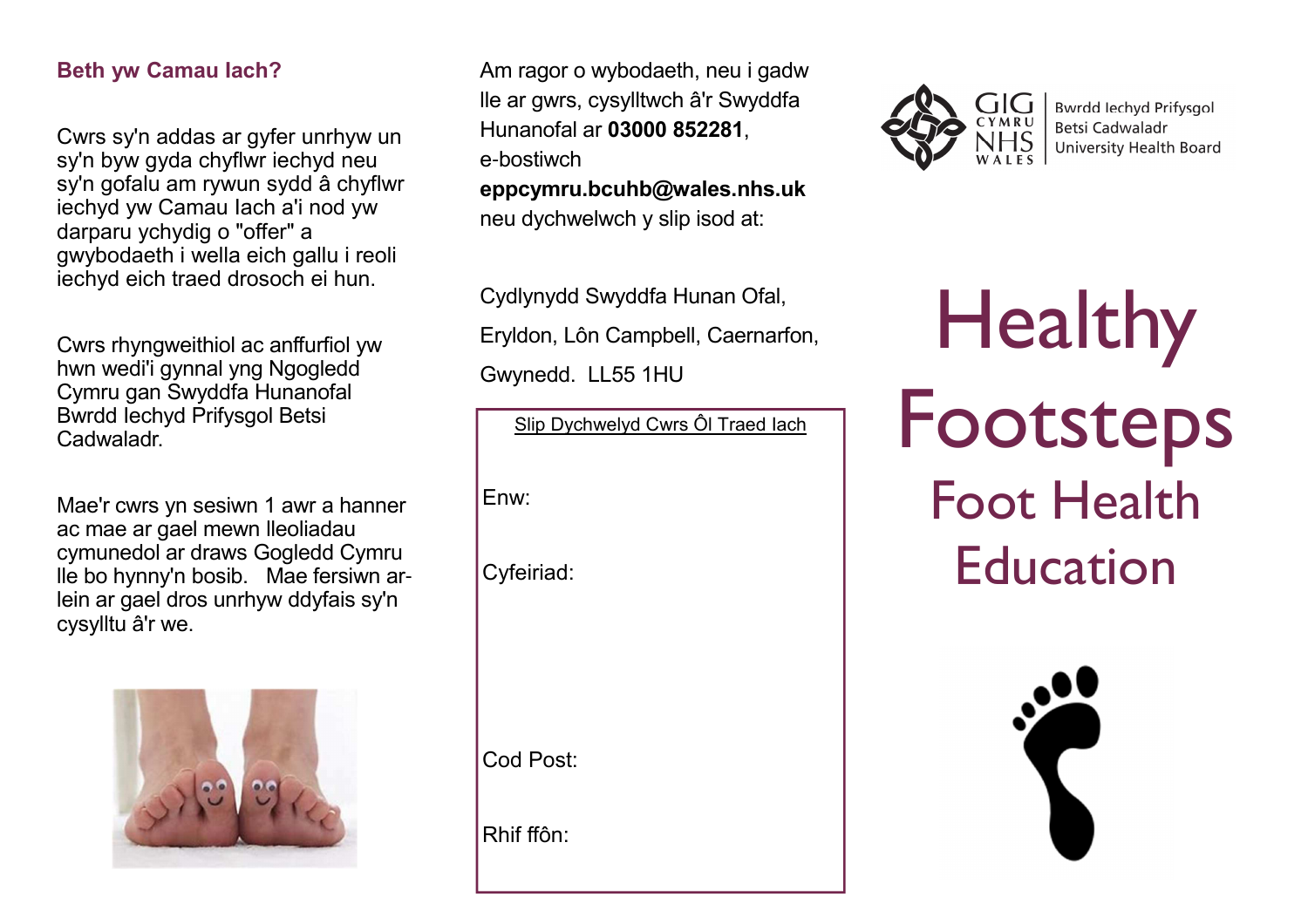## **Beth yw Camau Iach?**

Cwrs sy'n addas ar gyfer unrhyw un sy'n byw gyda chyflwr iechyd neu sy'n gofalu am rywun sydd â chyflwr iechyd yw Camau Iach a'i nod yw darparu ychydig o "offer" a gwybodaeth i wella eich gallu i reoli iechyd eich traed drosoch ei hun.

Cwrs rhyngweithiol ac anffurfiol yw hwn wedi'i gynnal yng Ngogledd Cymru gan Swyddfa Hunanofal Bwrdd Iechyd Prifysgol Betsi Cadwaladr.

Mae'r cwrs yn sesiwn 1 awr a hanner ac mae ar gael mewn lleoliadau cymunedol ar draws Gogledd Cymru lle bo hynny'n bosib. Mae fersiwn arlein ar gael dros unrhyw ddyfais sy'n cysylltu â'r we.



Am ragor o wybodaeth, neu i gadw lle ar gwrs, cysylltwch â'r Swyddfa Hunanofal ar **03000 852281**, e-bostiwch

**eppcymru.bcuhb@wales.nhs.uk** neu dychwelwch y slip isod at:

Cydlynydd Swyddfa Hunan Ofal,Eryldon, Lôn Campbell, Caernarfon,Gwynedd. LL55 1HU

Slip Dychwelyd Cwrs Ôl Traed IachEnw:

Cyfeiriad:

Cod Post:

Rhif ffôn:



**Bwrdd lechvd Prifysgol** Betsi Cadwaladr University Health Board

 Healthy Footsteps Foot Health Education